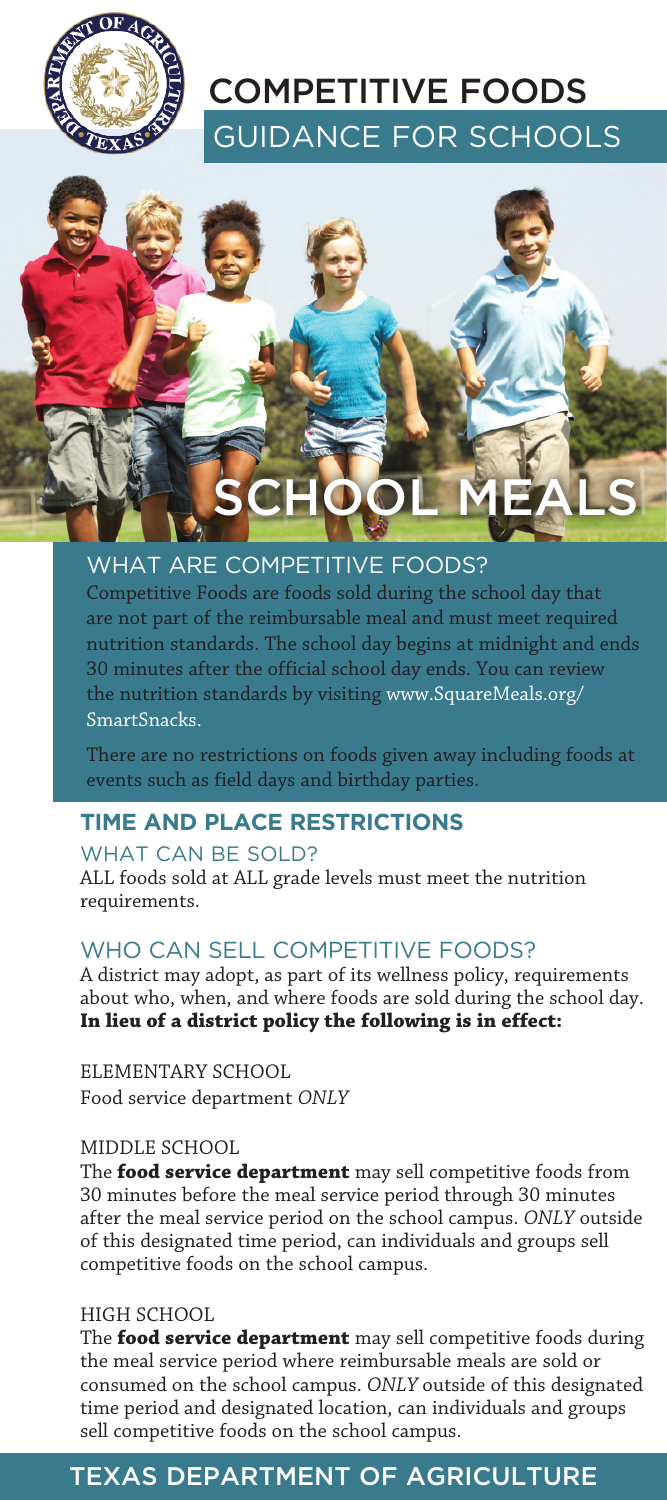

# GUIDANCE FOR SCHOOLS COMPETITIVE FOODS



## WHAT ARE COMPETITIVE FOODS?

Competitive Foods are foods sold during the school day that are not part of the reimbursable meal and must meet required nutrition standards. The school day begins at midnight and ends 30 minutes after the official school day ends. You can review the nutrition standards by visiting www.SquareMeals.org/ SmartSnacks.

There are no restrictions on foods given away including foods at events such as field days and birthday parties.

### **TIME AND PLACE RESTRICTIONS**

#### WHAT CAN BE SOLD?

ALL foods sold at ALL grade levels must meet the nutrition requirements.

## WHO CAN SELL COMPETITIVE FOODS?

A district may adopt, as part of its wellness policy, requirements about who, when, and where foods are sold during the school day. **In lieu of a district policy the following is in effect:**

ELEMENTARY SCHOOL Food service department *ONLY* 

#### MIDDLE SCHOOL

The **food service department** may sell competitive foods from 30 minutes before the meal service period through 30 minutes after the meal service period on the school campus. *ONLY* outside of this designated time period, can individuals and groups sell competitive foods on the school campus.

#### HIGH SCHOOL

The **food service department** may sell competitive foods during the meal service period where reimbursable meals are sold or consumed on the school campus. *ONLY* outside of this designated time period and designated location, can individuals and groups sell competitive foods on the school campus.

## TEXAS DEPARTMENT OF AGRICULTURE